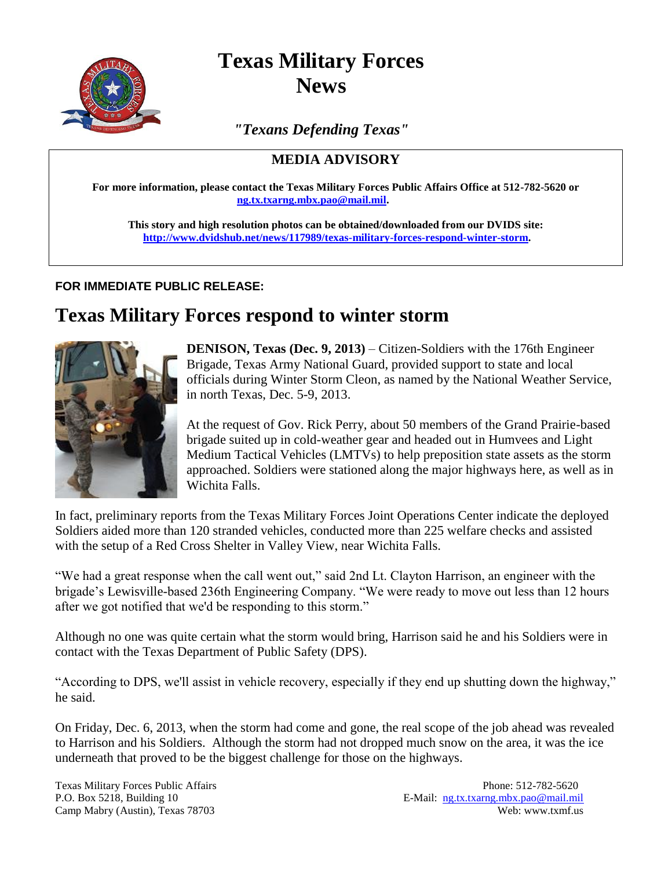

## **Texas Military Forces News**

*"Texans Defending Texas"*

## **MEDIA ADVISORY**

**For more information, please contact the Texas Military Forces Public Affairs Office at 512-782-5620 or [ng.tx.txarng.mbx.pao@mail.mil.](mailto:ng.tx.txarng.mbx.pao@mail.mil)**

**This story and high resolution photos can be obtained/downloaded from our DVIDS site: [http://www.dvidshub.net/news/117989/texas-military-forces-respond-winter-storm.](http://www.dvidshub.net/news/117989/texas-military-forces-respond-winter-storm)**

## **FOR IMMEDIATE PUBLIC RELEASE:**

## **Texas Military Forces respond to winter storm**



**DENISON, Texas (Dec. 9, 2013)** – Citizen-Soldiers with the 176th Engineer Brigade, Texas Army National Guard, provided support to state and local officials during Winter Storm Cleon, as named by the National Weather Service, in north Texas, Dec. 5-9, 2013.

At the request of Gov. Rick Perry, about 50 members of the Grand Prairie-based brigade suited up in cold-weather gear and headed out in Humvees and Light Medium Tactical Vehicles (LMTVs) to help preposition state assets as the storm approached. Soldiers were stationed along the major highways here, as well as in Wichita Falls.

In fact, preliminary reports from the Texas Military Forces Joint Operations Center indicate the deployed Soldiers aided more than 120 stranded vehicles, conducted more than 225 welfare checks and assisted with the setup of a Red Cross Shelter in Valley View, near Wichita Falls.

"We had a great response when the call went out," said 2nd Lt. Clayton Harrison, an engineer with the brigade's Lewisville-based 236th Engineering Company. "We were ready to move out less than 12 hours after we got notified that we'd be responding to this storm."

Although no one was quite certain what the storm would bring, Harrison said he and his Soldiers were in contact with the Texas Department of Public Safety (DPS).

"According to DPS, we'll assist in vehicle recovery, especially if they end up shutting down the highway," he said.

On Friday, Dec. 6, 2013, when the storm had come and gone, the real scope of the job ahead was revealed to Harrison and his Soldiers. Although the storm had not dropped much snow on the area, it was the ice underneath that proved to be the biggest challenge for those on the highways.